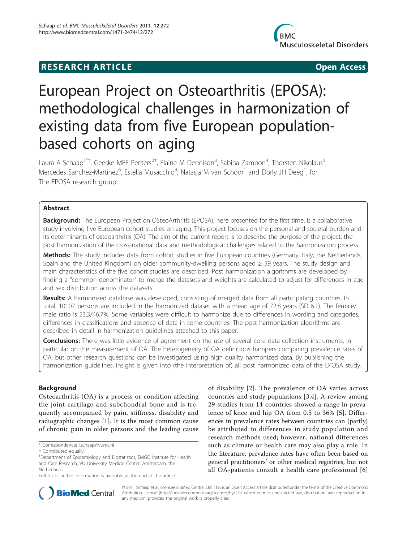# **RESEARCH ARTICLE Example 2018 12:00 Open Access**



# European Project on Osteoarthritis (EPOSA): methodological challenges in harmonization of existing data from five European populationbased cohorts on aging

Laura A Schaap<sup>1\*†</sup>, Geeske MEE Peeters<sup>2†</sup>, Elaine M Dennison<sup>3</sup>, Sabina Zambon<sup>4</sup>, Thorsten Nikolaus<sup>5</sup> , Mercedes Sanchez-Martinez<sup>6</sup>, Estella Musacchio<sup>4</sup>, Natasja M van Schoor<sup>1</sup> and Dorly JH Deeg<sup>1</sup>, for The EPOSA research group

# Abstract

**Background:** The European Project on OSteoArthritis (EPOSA), here presented for the first time, is a collaborative study involving five European cohort studies on aging. This project focuses on the personal and societal burden and its determinants of osteoarthritis (OA). The aim of the current report is to describe the purpose of the project, the post harmonization of the cross-national data and methodological challenges related to the harmonization process

Methods: The study includes data from cohort studies in five European countries (Germany, Italy, the Netherlands, Spain and the United Kingdom) on older community-dwelling persons aged ≥ 59 years. The study design and main characteristics of the five cohort studies are described. Post harmonization algorithms are developed by finding a "common denominator" to merge the datasets and weights are calculated to adjust for differences in age and sex distribution across the datasets.

Results: A harmonized database was developed, consisting of merged data from all participating countries. In total, 10107 persons are included in the harmonized dataset with a mean age of 72.8 years (SD 6.1). The female/ male ratio is 53.3/46.7%. Some variables were difficult to harmonize due to differences in wording and categories, differences in classifications and absence of data in some countries. The post harmonization algorithms are described in detail in harmonization guidelines attached to this paper.

**Conclusions:** There was little evidence of agreement on the use of several core data collection instruments, in particular on the measurement of OA. The heterogeneity of OA definitions hampers comparing prevalence rates of OA, but other research questions can be investigated using high quality harmonized data. By publishing the harmonization guidelines, insight is given into (the interpretation of) all post harmonized data of the EPOSA study.

# Background

Osteoarthritis (OA) is a process or condition affecting the joint cartilage and subchondral bone and is frequently accompanied by pain, stiffness, disability and radiographic changes [[1\]](#page-11-0). It is the most common cause of chronic pain in older persons and the leading cause of disability [[2\]](#page-11-0). The prevalence of OA varies across countries and study populations [[3,4](#page-11-0)]. A review among 29 studies from 14 countries showed a range in prevalence of knee and hip OA from 0.5 to 36% [[5](#page-11-0)]. Differences in prevalence rates between countries can (partly) be attributed to differences in study population and research methods used; however, national differences such as climate or health care may also play a role. In the literature, prevalence rates have often been based on general practitioners' or other medical registries, but not all OA-patients consult a health care professional [[6](#page-11-0)]



© 2011 Schaap et al; licensee BioMed Central Ltd. This is an Open Access article distributed under the terms of the Creative Commons Attribution License [\(http://creativecommons.org/licenses/by/2.0](http://creativecommons.org/licenses/by/2.0)), which permits unrestricted use, distribution, and reproduction in any medium, provided the original work is properly cited.

<sup>\*</sup> Correspondence: [l.schaap@vumc.nl](mailto:l.schaap@vumc.nl)

<sup>†</sup> Contributed equally <sup>1</sup>

<sup>&</sup>lt;sup>1</sup>Department of Epidemiology and Biostatistics, EMGO Institute for Health and Care Research, VU University Medical Center, Amsterdam, the Netherlands

Full list of author information is available at the end of the article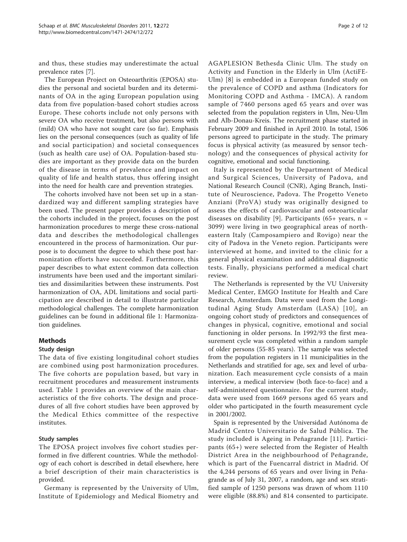and thus, these studies may underestimate the actual prevalence rates [[7\]](#page-11-0).

The European Project on Osteoarthritis (EPOSA) studies the personal and societal burden and its determinants of OA in the aging European population using data from five population-based cohort studies across Europe. These cohorts include not only persons with severe OA who receive treatment, but also persons with (mild) OA who have not sought care (so far). Emphasis lies on the personal consequences (such as quality of life and social participation) and societal consequences (such as health care use) of OA. Population-based studies are important as they provide data on the burden of the disease in terms of prevalence and impact on quality of life and health status, thus offering insight into the need for health care and prevention strategies.

The cohorts involved have not been set up in a standardized way and different sampling strategies have been used. The present paper provides a description of the cohorts included in the project, focuses on the post harmonization procedures to merge these cross-national data and describes the methodological challenges encountered in the process of harmonization. Our purpose is to document the degree to which these post harmonization efforts have succeeded. Furthermore, this paper describes to what extent common data collection instruments have been used and the important similarities and dissimilarities between these instruments. Post harmonization of OA, ADL limitations and social participation are described in detail to illustrate particular methodological challenges. The complete harmonization guidelines can be found in additional file [1:](#page-10-0) Harmonization guidelines.

# Methods

# Study design

The data of five existing longitudinal cohort studies are combined using post harmonization procedures. The five cohorts are population based, but vary in recruitment procedures and measurement instruments used. Table [1](#page-2-0) provides an overview of the main characteristics of the five cohorts. The design and procedures of all five cohort studies have been approved by the Medical Ethics committee of the respective institutes.

# Study samples

The EPOSA project involves five cohort studies performed in five different countries. While the methodology of each cohort is described in detail elsewhere, here a brief description of their main characteristics is provided.

Germany is represented by the University of Ulm, Institute of Epidemiology and Medical Biometry and AGAPLESION Bethesda Clinic Ulm. The study on Activity and Function in the Elderly in Ulm (ActiFE-Ulm) [[8\]](#page-11-0) is embedded in a European funded study on the prevalence of COPD and asthma (Indicators for Monitoring COPD and Asthma - IMCA). A random sample of 7460 persons aged 65 years and over was selected from the population registers in Ulm, Neu-Ulm and Alb-Donau-Kreis. The recruitment phase started in February 2009 and finished in April 2010. In total, 1506 persons agreed to participate in the study. The primary focus is physical activity (as measured by sensor technology) and the consequences of physical activity for cognitive, emotional and social functioning.

Italy is represented by the Department of Medical and Surgical Sciences, University of Padova, and National Research Council (CNR), Aging Branch, Institute of Neuroscience, Padova. The Progetto Veneto Anziani (ProVA) study was originally designed to assess the effects of cardiovascular and osteoarticular diseases on disability [[9](#page-11-0)]. Participants  $(65+)$  years, n = 3099) were living in two geographical areas of northeastern Italy (Camposampiero and Rovigo) near the city of Padova in the Veneto region. Participants were interviewed at home, and invited to the clinic for a general physical examination and additional diagnostic tests. Finally, physicians performed a medical chart review.

The Netherlands is represented by the VU University Medical Center, EMGO Institute for Health and Care Research, Amsterdam. Data were used from the Longitudinal Aging Study Amsterdam (LASA) [[10](#page-11-0)], an ongoing cohort study of predictors and consequences of changes in physical, cognitive, emotional and social functioning in older persons. In 1992/93 the first measurement cycle was completed within a random sample of older persons (55-85 years). The sample was selected from the population registers in 11 municipalities in the Netherlands and stratified for age, sex and level of urbanization. Each measurement cycle consists of a main interview, a medical interview (both face-to-face) and a self-administered questionnaire. For the current study, data were used from 1669 persons aged 65 years and older who participated in the fourth measurement cycle in 2001/2002.

Spain is represented by the Universidad Autónoma de Madrid Centro Universitario de Salud Pública. The study included is Ageing in Peñagrande [[11](#page-11-0)]. Participants (65+) were selected from the Register of Health District Area in the neighbourhood of Peñagrande, which is part of the Fuencarral district in Madrid. Of the 4,244 persons of 65 years and over living in Peñagrande as of July 31, 2007, a random, age and sex stratified sample of 1250 persons was drawn of whom 1110 were eligible (88.8%) and 814 consented to participate.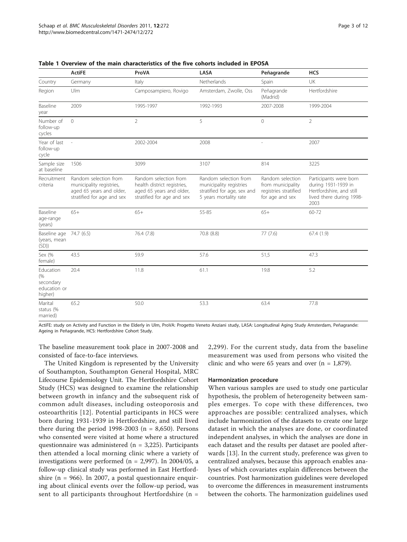|                                                         | <b>ActiFE</b>                                                                                               | ProVA                                                                                                          | LASA                                                                                                      | Peñagrande                                                                        | <b>HCS</b>                                                                                                    |
|---------------------------------------------------------|-------------------------------------------------------------------------------------------------------------|----------------------------------------------------------------------------------------------------------------|-----------------------------------------------------------------------------------------------------------|-----------------------------------------------------------------------------------|---------------------------------------------------------------------------------------------------------------|
| Country                                                 | Germany                                                                                                     | Italy                                                                                                          | Netherlands                                                                                               | Spain                                                                             | UK                                                                                                            |
| Region                                                  | Ulm                                                                                                         | Camposampiero, Rovigo                                                                                          | Amsterdam, Zwolle, Oss                                                                                    | Peñagrande<br>(Madrid)                                                            | Hertfordshire                                                                                                 |
| Baseline<br>year                                        | 2009                                                                                                        | 1995-1997                                                                                                      | 1992-1993                                                                                                 | 2007-2008                                                                         | 1999-2004                                                                                                     |
| Number of<br>follow-up<br>cycles                        | $\bigcirc$                                                                                                  | $\overline{2}$                                                                                                 | 5                                                                                                         | $\overline{0}$                                                                    | $\overline{2}$                                                                                                |
| Year of last<br>follow-up<br>cycle                      | $\sim$                                                                                                      | 2002-2004                                                                                                      | 2008                                                                                                      | ٠                                                                                 | 2007                                                                                                          |
| Sample size<br>at baseline                              | 1506                                                                                                        | 3099                                                                                                           | 3107                                                                                                      | 814                                                                               | 3225                                                                                                          |
| Recruitment<br>criteria                                 | Random selection from<br>municipality registries,<br>aged 65 years and older,<br>stratified for age and sex | Random selection from<br>health district registries,<br>aged 65 years and older,<br>stratified for age and sex | Random selection from<br>municipality registries<br>stratified for age, sex and<br>5 years mortality rate | Random selection<br>from municipality<br>registries stratified<br>for age and sex | Participants were born<br>during 1931-1939 in<br>Hertfordshire, and still<br>lived there during 1998-<br>2003 |
| Baseline<br>age-range<br>(years)                        | $65+$                                                                                                       | $65+$                                                                                                          | $55 - 85$                                                                                                 | $65+$                                                                             | 60-72                                                                                                         |
| Baseline age 74.7 (6.5)<br>(years, mean<br>(SD)         |                                                                                                             | 76.4 (7.8)                                                                                                     | 70.8 (8.8)                                                                                                | 77 (7.6)                                                                          | 67.4 (1.9)                                                                                                    |
| Sex (%<br>female)                                       | 43.5                                                                                                        | 59.9                                                                                                           | 57.6                                                                                                      | 51,5                                                                              | 47.3                                                                                                          |
| Education<br>(%<br>secondary<br>education or<br>higher) | 20.4                                                                                                        | 11.8                                                                                                           | 61.1                                                                                                      | 19.8                                                                              | 5.2                                                                                                           |
| Marital<br>status (%<br>married)                        | 65.2                                                                                                        | 50.0                                                                                                           | 53.3                                                                                                      | 63.4                                                                              | 77.8                                                                                                          |

<span id="page-2-0"></span>Table 1 Overview of the main characteristics of the five cohorts included in EPOSA

ActiFE: study on Activity and Function in the Elderly in Ulm, ProVA: Progetto Veneto Anziani study, LASA: Longitudinal Aging Study Amsterdam, Peñagrande: Ageing in Peñagrande, HCS: Hertfordshire Cohort Study.

The baseline measurement took place in 2007-2008 and consisted of face-to-face interviews.

The United Kingdom is represented by the University of Southampton, Southampton General Hospital, MRC Lifecourse Epidemiology Unit. The Hertfordshire Cohort Study (HCS) was designed to examine the relationship between growth in infancy and the subsequent risk of common adult diseases, including osteoporosis and osteoarthritis [\[12\]](#page-11-0). Potential participants in HCS were born during 1931-1939 in Hertfordshire, and still lived there during the period 1998-2003 ( $n = 8,650$ ). Persons who consented were visited at home where a structured questionnaire was administered (n = 3,225). Participants then attended a local morning clinic where a variety of investigations were performed ( $n = 2,997$ ). In 2004/05, a follow-up clinical study was performed in East Hertfordshire (n = 966). In 2007, a postal questionnaire enquiring about clinical events over the follow-up period, was sent to all participants throughout Hertfordshire ( $n =$  2,299). For the current study, data from the baseline measurement was used from persons who visited the clinic and who were 65 years and over  $(n = 1,879)$ .

#### Harmonization procedure

When various samples are used to study one particular hypothesis, the problem of heterogeneity between samples emerges. To cope with these differences, two approaches are possible: centralized analyses, which include harmonization of the datasets to create one large dataset in which the analyses are done, or coordinated independent analyses, in which the analyses are done in each dataset and the results per dataset are pooled afterwards [[13\]](#page-11-0). In the current study, preference was given to centralized analyses, because this approach enables analyses of which covariates explain differences between the countries. Post harmonization guidelines were developed to overcome the differences in measurement instruments between the cohorts. The harmonization guidelines used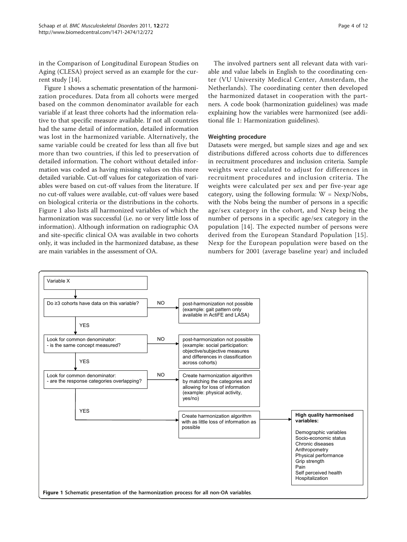in the Comparison of Longitudinal European Studies on Aging (CLESA) project served as an example for the current study [[14](#page-11-0)].

Figure 1 shows a schematic presentation of the harmonization procedures. Data from all cohorts were merged based on the common denominator available for each variable if at least three cohorts had the information relative to that specific measure available. If not all countries had the same detail of information, detailed information was lost in the harmonized variable. Alternatively, the same variable could be created for less than all five but more than two countries, if this led to preservation of detailed information. The cohort without detailed information was coded as having missing values on this more detailed variable. Cut-off values for categorization of variables were based on cut-off values from the literature. If no cut-off values were available, cut-off values were based on biological criteria or the distributions in the cohorts. Figure 1 also lists all harmonized variables of which the harmonization was successful (i.e. no or very little loss of information). Although information on radiographic OA and site-specific clinical OA was available in two cohorts only, it was included in the harmonized database, as these are main variables in the assessment of OA.

The involved partners sent all relevant data with variable and value labels in English to the coordinating center (VU University Medical Center, Amsterdam, the Netherlands). The coordinating center then developed the harmonized dataset in cooperation with the partners. A code book (harmonization guidelines) was made explaining how the variables were harmonized (see additional file [1](#page-10-0): Harmonization guidelines).

# Weighting procedure

Datasets were merged, but sample sizes and age and sex distributions differed across cohorts due to differences in recruitment procedures and inclusion criteria. Sample weights were calculated to adjust for differences in recruitment procedures and inclusion criteria. The weights were calculated per sex and per five-year age category, using the following formula:  $W = \text{Nexp/Nobs}$ , with the Nobs being the number of persons in a specific age/sex category in the cohort, and Nexp being the number of persons in a specific age/sex category in the population [[14\]](#page-11-0). The expected number of persons were derived from the European Standard Population [[15\]](#page-11-0). Nexp for the European population were based on the numbers for 2001 (average baseline year) and included

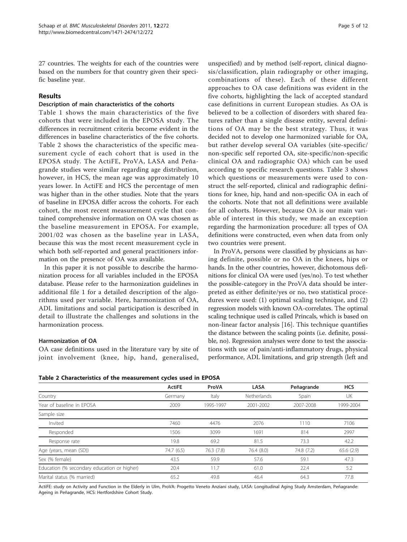27 countries. The weights for each of the countries were based on the numbers for that country given their specific baseline year.

# Results

# Description of main characteristics of the cohorts

Table [1](#page-2-0) shows the main characteristics of the five cohorts that were included in the EPOSA study. The differences in recruitment criteria become evident in the differences in baseline characteristics of the five cohorts. Table 2 shows the characteristics of the specific measurement cycle of each cohort that is used in the EPOSA study. The ActiFE, ProVA, LASA and Peñagrande studies were similar regarding age distribution, however, in HCS, the mean age was approximately 10 years lower. In ActiFE and HCS the percentage of men was higher than in the other studies. Note that the years of baseline in EPOSA differ across the cohorts. For each cohort, the most recent measurement cycle that contained comprehensive information on OA was chosen as the baseline measurement in EPOSA. For example, 2001/02 was chosen as the baseline year in LASA, because this was the most recent measurement cycle in which both self-reported and general practitioners information on the presence of OA was available.

In this paper it is not possible to describe the harmonization process for all variables included in the EPOSA database. Please refer to the harmonization guidelines in additional file [1](#page-10-0) for a detailed description of the algorithms used per variable. Here, harmonization of OA, ADL limitations and social participation is described in detail to illustrate the challenges and solutions in the harmonization process.

## Harmonization of OA

OA case definitions used in the literature vary by site of joint involvement (knee, hip, hand, generalised,

unspecified) and by method (self-report, clinical diagnosis/classification, plain radiography or other imaging, combinations of these). Each of these different approaches to OA case definitions was evident in the five cohorts, highlighting the lack of accepted standard case definitions in current European studies. As OA is believed to be a collection of disorders with shared features rather than a single disease entity, several definitions of OA may be the best strategy. Thus, it was decided not to develop one harmonized variable for OA, but rather develop several OA variables (site-specific/ non-specific self reported OA, site-specific/non-specific clinical OA and radiographic OA) which can be used according to specific research questions. Table [3](#page-5-0) shows which questions or measurements were used to construct the self-reported, clinical and radiographic definitions for knee, hip, hand and non-specific OA in each of the cohorts. Note that not all definitions were available for all cohorts. However, because OA is our main variable of interest in this study, we made an exception regarding the harmonization procedure: all types of OA definitions were constructed, even when data from only two countries were present.

In ProVA, persons were classified by physicians as having definite, possible or no OA in the knees, hips or hands. In the other countries, however, dichotomous definitions for clinical OA were used (yes/no). To test whether the possible-category in the ProVA data should be interpreted as either definite/yes or no, two statistical procedures were used: (1) optimal scaling technique, and (2) regression models with known OA-correlates. The optimal scaling technique used is called Princals, which is based on non-linear factor analysis [\[16](#page-11-0)]. This technique quantifies the distance between the scaling points (i.e. definite, possible, no). Regression analyses were done to test the associations with use of pain/anti-inflammatory drugs, physical performance, ADL limitations, and grip strength (left and

|  |  | Table 2 Characteristics of the measurement cycles used in EPOSA |  |  |  |  |  |  |  |  |  |  |
|--|--|-----------------------------------------------------------------|--|--|--|--|--|--|--|--|--|--|
|--|--|-----------------------------------------------------------------|--|--|--|--|--|--|--|--|--|--|

|                                             | <b>ActiFE</b> | ProVA      | LASA        | Peñagrande | <b>HCS</b> |
|---------------------------------------------|---------------|------------|-------------|------------|------------|
| Country                                     | Germany       | Italy      | Netherlands | Spain      | UK         |
| Year of baseline in EPOSA                   | 2009          | 1995-1997  | 2001-2002   | 2007-2008  | 1999-2004  |
| Sample size                                 |               |            |             |            |            |
| Invited                                     | 7460          | 4476       | 2076        | 1110       | 7106       |
| Responded                                   | 1506          | 3099       | 1691        | 814        | 2997       |
| Response rate                               | 19.8          | 69.2       | 81.5        | 73.3       | 42.2       |
| Age (years, mean (SD))                      | 74.7 (6.5)    | 76.3 (7.8) | 76.4 (8.0)  | 74.8 (7.2) | 65.6(2.9)  |
| Sex (% female)                              | 43.5          | 59.9       | 57.6        | 59.1       | 47.3       |
| Education (% secondary education or higher) | 20.4          | 11.7       | 61.0        | 22.4       | 5.2        |
| Marital status (% married)                  | 65.2          | 49.8       | 46.4        | 64.3       | 77.8       |

ActiFE: study on Activity and Function in the Elderly in Ulm, ProVA: Progetto Veneto Anziani study, LASA: Longitudinal Aging Study Amsterdam, Peñagrande: Ageing in Peñagrande, HCS: Hertfordshire Cohort Study.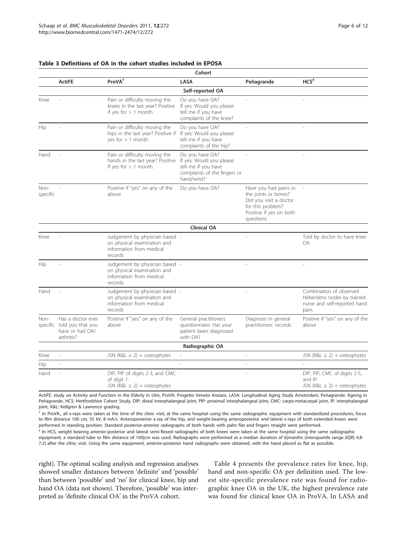# <span id="page-5-0"></span>Table 3 Definitions of OA in the cohort studies included in EPOSA

|                  |                                                                                  |                                                                                                                      | Cohort                                                                                                            |                                                                                                                                       |                                                                                                |
|------------------|----------------------------------------------------------------------------------|----------------------------------------------------------------------------------------------------------------------|-------------------------------------------------------------------------------------------------------------------|---------------------------------------------------------------------------------------------------------------------------------------|------------------------------------------------------------------------------------------------|
|                  | <b>ActiFE</b>                                                                    | ProVA <sup>+</sup>                                                                                                   | LASA                                                                                                              | Peñagrande                                                                                                                            | $HCS+$                                                                                         |
|                  |                                                                                  |                                                                                                                      | Self-reported OA                                                                                                  |                                                                                                                                       |                                                                                                |
| Knee             |                                                                                  | Pain or difficulty moving the<br>knees in the last year? Positive<br>if yes for $> 1$ month.                         | Do you have OA?<br>If yes: Would you please<br>tell me if you have<br>complaints of the knee?                     |                                                                                                                                       |                                                                                                |
| Hip              |                                                                                  | Pain or difficulty moving the<br>hips in the last year? Positive if If yes: Would you please<br>yes for $> 1$ month. | Do you have OA?<br>tell me if you have<br>complaints of the hip?                                                  |                                                                                                                                       |                                                                                                |
| Hand             |                                                                                  | Pain or difficulty moving the<br>hands in the last year? Positive<br>if yes for $> 1$ month.                         | Do you have OA?<br>If yes: Would you please<br>tell me if you have<br>complaints of the fingers or<br>hand/wrist? |                                                                                                                                       |                                                                                                |
| Non-<br>specific |                                                                                  | Positive if "yes" on any of the<br>above                                                                             | Do you have OA?                                                                                                   | Have you had pains in<br>the joints or bones?<br>Did you visit a doctor<br>for this problem?<br>Positive if yes on both<br>questions. |                                                                                                |
|                  |                                                                                  |                                                                                                                      | <b>Clinical OA</b>                                                                                                |                                                                                                                                       |                                                                                                |
| Knee             |                                                                                  | Judgement by physician based -<br>on physical examination and<br>information from medical<br>records                 |                                                                                                                   |                                                                                                                                       | Told by doctor to have knee<br>OA                                                              |
| Hip              |                                                                                  | Judgement by physician based -<br>on physical examination and<br>information from medical<br>records                 |                                                                                                                   | $\sim$                                                                                                                                | $\sim$                                                                                         |
| Hand             |                                                                                  | Judgement by physician based -<br>on physical examination and<br>information from medical<br>records                 |                                                                                                                   |                                                                                                                                       | Combination of observed<br>Heberdens nodes by trained<br>nurse and self-reported hand<br>pain. |
| Non-             | Has a doctor ever<br>specific told you that you<br>have or had OA/<br>arthritis? | Positive if "yes" on any of the<br>above                                                                             | General practitioners<br>questionnaire: Has your<br>patient been diagnosed<br>with OA?                            | Diagnosis in general<br>practitioners' records                                                                                        | Positive if "yes" on any of the<br>above                                                       |
|                  |                                                                                  |                                                                                                                      | Radiographic OA                                                                                                   |                                                                                                                                       |                                                                                                |
| Knee             |                                                                                  | JSN (K&L $\geq$ 2) + osteophytes                                                                                     |                                                                                                                   | $\overline{\phantom{a}}$                                                                                                              | JSN (K&L $\geq$ 2) + osteophytes                                                               |
| Hip              |                                                                                  |                                                                                                                      |                                                                                                                   | $\frac{1}{2}$                                                                                                                         |                                                                                                |
| Hand             |                                                                                  | DIP, PIP of digits 2-3, and CMC -<br>of digit 1:<br>JSN (K&L $\geq$ 2) + osteophytes                                 |                                                                                                                   |                                                                                                                                       | DIP, PIP, CMC of digits 2-5,<br>and IP:<br>JSN (K&L $\geq$ 2) + osteophytes                    |

ActiFE: study on Activity and Function in the Elderly in Ulm, ProVA: Progetto Veneto Anziani, LASA: Longitudinal Aging Study Amsterdam, Peñagrande: Ageing in Peñagrande, HCS: Hertfordshire Cohort Study, DIP: distal interphalangeal joint, PIP: proximal interphalangeal joint, CMC: carpo-metacarpal joint, IP: interphalangeal joint, K&L: Kellgren & Lawrence grading.

 $^{\dagger}$  In ProVA., all x-rays were taken at the time of the clinic visit, at the same hospital using the same radiographic equipment with standardized procedures, focus to film distance 100 cm, 55 kV, 8 mA/s. Anteroposterior x-ray of the hip, and weight-bearing anteroposterior and lateral x-rays of both extended knees were performed in standing position. Standard posterior-anterior radiographs of both hands with palm flat and fingers straight were performed.

‡ In HCS, weight bearing anterior-posterior and lateral semi-flexed radiographs of both knees were taken at the same hospital using the same radiographic equipment; a standard tube to film distance of 100 cm was used. Radiographs were performed at a median duration of 6 months (interquartile range (IQR) 4.8-7.2) after the clinic visit. Using the same equipment, anterior-posterior hand radiographs were obtained, with the hand placed as flat as possible.

right). The optimal scaling analysis and regression analyses showed smaller distances between 'definite' and 'possible' than between 'possible' and 'no' for clinical knee, hip and hand OA (data not shown). Therefore, 'possible' was interpreted as 'definite clinical OA' in the ProVA cohort.

Table [4](#page-6-0) presents the prevalence rates for knee, hip, hand and non-specific OA per definition used. The lowest site-specific prevalence rate was found for radiographic knee OA in the UK, the highest prevalence rate was found for clinical knee OA in ProVA. In LASA and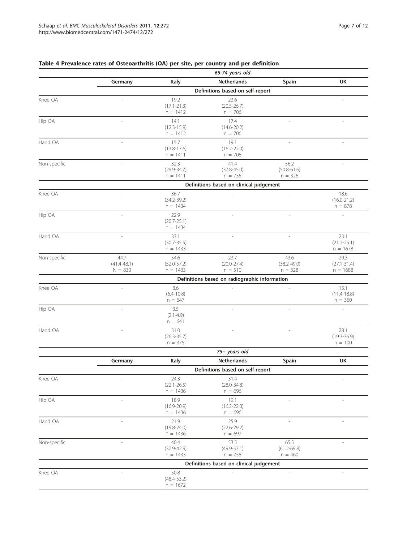# <span id="page-6-0"></span>Table 4 Prevalence rates of Osteoarthritis (OA) per site, per country and per definition

|              | 65-74 years old                               |                                       |                                         |                                      |                                       |  |  |  |  |
|--------------|-----------------------------------------------|---------------------------------------|-----------------------------------------|--------------------------------------|---------------------------------------|--|--|--|--|
|              | Germany                                       | Italy                                 | <b>Netherlands</b>                      | Spain                                | UK                                    |  |  |  |  |
|              | Definitions based on self-report              |                                       |                                         |                                      |                                       |  |  |  |  |
| Knee OA      |                                               | 19.2<br>$(17.1 - 21.3)$<br>$n = 1412$ | 23.6<br>$(20.5 - 26.7)$<br>$n = 706$    | L.                                   |                                       |  |  |  |  |
| Hip OA       |                                               | 14.1<br>$(12.3 - 15.9)$<br>$n = 1412$ | 17.4<br>$(14.6 - 20.2)$<br>$n = 706$    |                                      |                                       |  |  |  |  |
| Hand OA      |                                               | 15.7<br>$(13.8 - 17.6)$<br>$n = 1411$ | 19.1<br>$(16.2 - 22.0)$<br>$n = 706$    |                                      |                                       |  |  |  |  |
| Non-specific |                                               | 32.3<br>$(29.9 - 34.7)$<br>$n = 1411$ | 41.4<br>$(37.8 - 45.0)$<br>$n = 735$    | 56.2<br>$(50.8 - 61.6)$<br>$n = 326$ |                                       |  |  |  |  |
|              |                                               |                                       | Definitions based on clinical judgement |                                      |                                       |  |  |  |  |
| Knee OA      |                                               | 36.7<br>$(34.2 - 39.2)$<br>$n = 1434$ |                                         |                                      | 18.6<br>$(16.0 - 21.2)$<br>$n = 878$  |  |  |  |  |
| Hip OA       |                                               | 22.9<br>$(20.7 - 25.1)$<br>$n = 1434$ |                                         |                                      |                                       |  |  |  |  |
| Hand OA      |                                               | 33.1<br>$(30.7 - 35.5)$<br>$n = 1433$ |                                         |                                      | 23.1<br>$(21.1 - 25.1)$<br>$n = 1678$ |  |  |  |  |
| Non-specific | 44.7<br>$(41.4 - 48.1)$<br>$N = 830$          | 54.6<br>$(52.0 - 57.2)$<br>$n = 1433$ | 23.7<br>$(20.0 - 27.4)$<br>$n = 510$    | 43.6<br>$(38.2 - 49.0)$<br>$n = 328$ | 29.3<br>$(27.1 - 31.4)$<br>$n = 1688$ |  |  |  |  |
|              | Definitions based on radiographic information |                                       |                                         |                                      |                                       |  |  |  |  |
| Knee OA      |                                               | 8.6<br>$(6.4 - 10.8)$<br>$n = 647$    |                                         |                                      | 15.1<br>$(11.4 - 18.8)$<br>$n = 360$  |  |  |  |  |
| Hip OA       |                                               | 3.5<br>$(2.1 - 4.9)$<br>$n = 641$     |                                         |                                      |                                       |  |  |  |  |
| Hand OA      |                                               | 31.0<br>$(26.3 - 35.7)$<br>$n = 375$  |                                         |                                      | 28.1<br>$(19.3 - 36.9)$<br>$n = 100$  |  |  |  |  |
|              |                                               |                                       | 75+ years old                           |                                      |                                       |  |  |  |  |
|              | Germany                                       | Italy                                 | <b>Netherlands</b>                      | Spain                                | UK                                    |  |  |  |  |
|              |                                               |                                       | Definitions based on self-report        |                                      |                                       |  |  |  |  |
| Knee OA      |                                               | 24.3<br>$(22.1 - 26.5)$<br>$n = 1436$ | 31.4<br>$(28.0 - 34.8)$<br>$n = 696$    |                                      |                                       |  |  |  |  |
| Hip OA       |                                               | 18.9<br>$(16.9 - 20.9)$<br>$n = 1436$ | 19.1<br>$(16.2 - 22.0)$<br>$n = 696$    |                                      |                                       |  |  |  |  |
| Hand OA      |                                               | 21.9<br>$(19.8 - 24.0)$<br>$n = 1436$ | 25.9<br>$(22.6 - 29.2)$<br>$n = 697$    |                                      |                                       |  |  |  |  |
| Non-specific |                                               | 40.4<br>$(37.9 - 42.9)$<br>$n = 1433$ | 53.5<br>$(49.9 - 57.1)$<br>$n = 758$    | 65.5<br>$(61.2 - 69.8)$<br>$n = 460$ |                                       |  |  |  |  |
|              |                                               |                                       | Definitions based on clinical judgement |                                      |                                       |  |  |  |  |
| Knee OA      |                                               | 50.8<br>$(48.4 - 53.2)$<br>$n = 1672$ |                                         | L,                                   |                                       |  |  |  |  |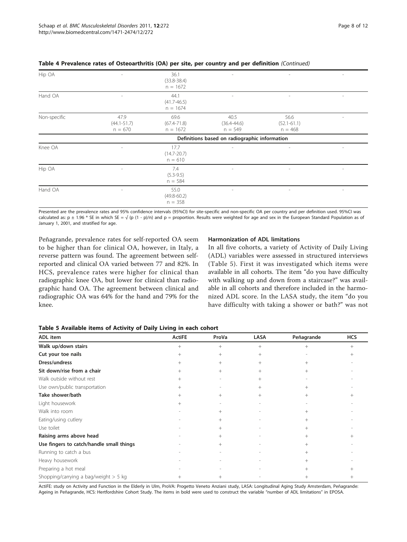| Hip OA       | $\overline{a}$                       | 36.1<br>$(33.8 - 38.4)$<br>$n = 1672$ | $\overline{\phantom{a}}$                      | $\overline{\phantom{a}}$             | $\overline{\phantom{a}}$ |
|--------------|--------------------------------------|---------------------------------------|-----------------------------------------------|--------------------------------------|--------------------------|
| Hand OA      | $\overline{a}$                       | 44.1<br>$(41.7 - 46.5)$<br>$n = 1674$ | $\overline{\phantom{a}}$                      | $\overline{\phantom{a}}$             |                          |
| Non-specific | 47.9<br>$(44.1 - 51.7)$<br>$n = 670$ | 69.6<br>$(67.4 - 71.8)$<br>$n = 1672$ | 40.5<br>$(36.4 - 44.6)$<br>$n = 549$          | 56.6<br>$(52.1 - 61.1)$<br>$n = 468$ |                          |
|              |                                      |                                       | Definitions based on radiographic information |                                      |                          |
| Knee OA      |                                      | 17.7<br>$(14.7 - 20.7)$<br>$n = 610$  | $\overline{\phantom{a}}$                      | $\overline{\phantom{a}}$             |                          |
| Hip OA       | $\overline{\phantom{a}}$             | 7.4<br>$(5.3 - 9.5)$<br>$n = 584$     | $\overline{\phantom{a}}$                      | $\sim$                               | $\overline{\phantom{a}}$ |
| Hand OA      | $\overline{\phantom{a}}$             | 55.0<br>$(49.8 - 60.2)$<br>$n = 358$  | $\overline{\phantom{a}}$                      | $\sim$                               | $\overline{\phantom{a}}$ |

<span id="page-7-0"></span>

| Table 4 Prevalence rates of Osteoarthritis (OA) per site, per country and per definition (Continued) |  |  |  |  |
|------------------------------------------------------------------------------------------------------|--|--|--|--|
|------------------------------------------------------------------------------------------------------|--|--|--|--|

Presented are the prevalence rates and 95% confidence intervals (95%CI) for site-specific and non-specific OA per country and per definition used. 95%CI was calculated as:  $p \pm 1.96 * SE$  in which SE =  $\sqrt{(p(1-p)/n)}$  and  $p =$  proportion. Results were weighted for age and sex in the European Standard Population as of January 1, 2001, and stratified for age.

Peñagrande, prevalence rates for self-reported OA seem to be higher than for clinical OA, however, in Italy, a reverse pattern was found. The agreement between selfreported and clinical OA varied between 77 and 82%. In HCS, prevalence rates were higher for clinical than radiographic knee OA, but lower for clinical than radiographic hand OA. The agreement between clinical and radiographic OA was 64% for the hand and 79% for the knee.

#### Harmonization of ADL limitations

In all five cohorts, a variety of Activity of Daily Living (ADL) variables were assessed in structured interviews (Table 5). First it was investigated which items were available in all cohorts. The item "do you have difficulty with walking up and down from a staircase?" was available in all cohorts and therefore included in the harmonized ADL score. In the LASA study, the item "do you have difficulty with taking a shower or bath?" was not

#### Table 5 Available items of Activity of Daily Living in each cohort

| <b>ADL</b> item                          | <b>ActiFE</b> | ProVa  | LASA   | Peñagrande | <b>HCS</b> |
|------------------------------------------|---------------|--------|--------|------------|------------|
| Walk up/down stairs                      | $^{+}$        | $^{+}$ | $^{+}$ | $^{+}$     |            |
| Cut your toe nails                       | $^{+}$        | $^{+}$ | $^{+}$ |            |            |
| Dress/undress                            | $^{+}$        | $^{+}$ | $^{+}$ | $^{+}$     |            |
| Sit down/rise from a chair               | $^{+}$        | $^{+}$ | $^{+}$ |            |            |
| Walk outside without rest                | $^{+}$        |        | $^{+}$ |            |            |
| Use own/public transportation            | $^{+}$        |        | $^{+}$ |            |            |
| Take shower/bath                         | $^{+}$        | $^{+}$ | $^{+}$ |            |            |
| Light housework                          | $^{+}$        |        |        |            |            |
| Walk into room                           |               | $^{+}$ |        | $^{+}$     |            |
| Eating/using cutlery                     |               | $^{+}$ |        | $^{+}$     |            |
| Use toilet                               |               | $^{+}$ |        | $^{+}$     |            |
| Raising arms above head                  |               | $^{+}$ |        | $^{+}$     |            |
| Use fingers to catch/handle small things |               | $^{+}$ |        | $^{+}$     |            |
| Running to catch a bus                   |               |        |        | $^{+}$     |            |
| Heavy housework                          |               |        |        | $^{+}$     |            |
| Preparing a hot meal                     |               |        |        | $^{+}$     |            |
| Shopping/carrying a bag/weight > 5 kg    | $^{+}$        | $^{+}$ |        | $^{+}$     |            |

ActiFE: study on Activity and Function in the Elderly in Ulm, ProVA: Progetto Veneto Anziani study, LASA: Longitudinal Aging Study Amsterdam, Peñagrande: Ageing in Peñagrande, HCS: Hertfordshire Cohort Study. The items in bold were used to construct the variable "number of ADL limitations" in EPOSA.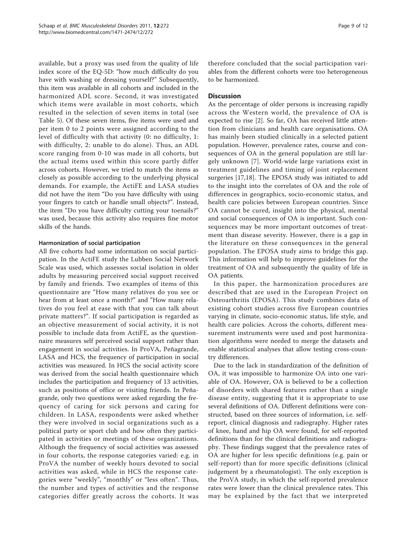available, but a proxy was used from the quality of life index score of the EQ-5D: "how much difficulty do you have with washing or dressing yourself?" Subsequently, this item was available in all cohorts and included in the harmonized ADL score. Second, it was investigated which items were available in most cohorts, which resulted in the selection of seven items in total (see Table [5\)](#page-7-0). Of these seven items, five items were used and per item 0 to 2 points were assigned according to the level of difficulty with that activity (0: no difficulty, 1: with difficulty, 2: unable to do alone). Thus, an ADL score ranging from 0-10 was made in all cohorts, but the actual items used within this score partly differ across cohorts. However, we tried to match the items as closely as possible according to the underlying physical demands. For example, the ActiFE and LASA studies did not have the item "Do you have difficulty with using your fingers to catch or handle small objects?". Instead, the item "Do you have difficulty cutting your toenails?" was used, because this activity also requires fine motor skills of the hands.

# Harmonization of social participation

All five cohorts had some information on social participation. In the ActiFE study the Lubben Social Network Scale was used, which assesses social isolation in older adults by measuring perceived social support received by family and friends. Two examples of items of this questionnaire are "How many relatives do you see or hear from at least once a month?" and "How many relatives do you feel at ease with that you can talk about private matters?". If social participation is regarded as an objective measurement of social activity, it is not possible to include data from ActiFE, as the questionnaire measures self perceived social support rather than engagement in social activities. In ProVA, Peñagrande, LASA and HCS, the frequency of participation in social activities was measured. In HCS the social activity score was derived from the social health questionnaire which includes the participation and frequency of 13 activities, such as positions of office or visiting friends. In Peñagrande, only two questions were asked regarding the frequency of caring for sick persons and caring for children. In LASA, respondents were asked whether they were involved in social organizations such as a political party or sport club and how often they participated in activities or meetings of these organizations. Although the frequency of social activities was assessed in four cohorts, the response categories varied: e.g. in ProVA the number of weekly hours devoted to social activities was asked, while in HCS the response categories were "weekly", "monthly" or "less often". Thus, the number and types of activities and the response categories differ greatly across the cohorts. It was

therefore concluded that the social participation variables from the different cohorts were too heterogeneous to be harmonized.

# **Discussion**

As the percentage of older persons is increasing rapidly across the Western world, the prevalence of OA is expected to rise [[2\]](#page-11-0). So far, OA has received little attention from clinicians and health care organisations. OA has mainly been studied clinically in a selected patient population. However, prevalence rates, course and consequences of OA in the general population are still largely unknown [[7](#page-11-0)]. World-wide large variations exist in treatment guidelines and timing of joint replacement surgeries [[17](#page-11-0),[18](#page-11-0)]. The EPOSA study was initiated to add to the insight into the correlates of OA and the role of differences in geographics, socio-economic status, and health care policies between European countries. Since OA cannot be cured, insight into the physical, mental and social consequences of OA is important. Such consequences may be more important outcomes of treatment than disease severity. However, there is a gap in the literature on these consequences in the general population. The EPOSA study aims to bridge this gap. This information will help to improve guidelines for the treatment of OA and subsequently the quality of life in OA patients.

In this paper, the harmonization procedures are described that are used in the European Project on Osteoarthritis (EPOSA). This study combines data of existing cohort studies across five European countries varying in climate, socio-economic status, life style, and health care policies. Across the cohorts, different measurement instruments were used and post harmonization algorithms were needed to merge the datasets and enable statistical analyses that allow testing cross-country differences.

Due to the lack in standardization of the definition of OA, it was impossible to harmonize OA into one variable of OA. However, OA is believed to be a collection of disorders with shared features rather than a single disease entity, suggesting that it is appropriate to use several definitions of OA. Different definitions were constructed, based on three sources of information, i.e. selfreport, clinical diagnosis and radiography. Higher rates of knee, hand and hip OA were found, for self-reported definitions than for the clinical definitions and radiography. These findings suggest that the prevalence rates of OA are higher for less specific definitions (e.g. pain or self-report) than for more specific definitions (clinical judgement by a rheumatologist). The only exception is the ProVA study, in which the self-reported prevalence rates were lower than the clinical prevalence rates. This may be explained by the fact that we interpreted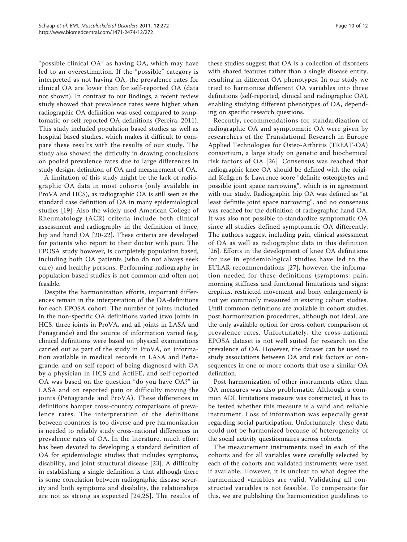"possible clinical OA" as having OA, which may have led to an overestimation. If the "possible" category is interpreted as not having OA, the prevalence rates for clinical OA are lower than for self-reported OA (data not shown). In contrast to our findings, a recent review study showed that prevalence rates were higher when radiographic OA definition was used compared to symptomatic or self-reported OA definitions (Pereira, 2011). This study included population based studies as well as hospital based studies, which makes it difficult to compare these results with the results of our study. The study also showed the difficulty in drawing conclusions on pooled prevalence rates due to large differences in study design, definition of OA and measurement of OA.

A limitation of this study might be the lack of radiographic OA data in most cohorts (only available in ProVA and HCS), as radiographic OA is still seen as the standard case definition of OA in many epidemiological studies [[19\]](#page-11-0). Also the widely used American College of Rheumatology (ACR) criteria include both clinical assessment and radiography in the definition of knee, hip and hand OA [[20](#page-11-0)-[22\]](#page-11-0). These criteria are developed for patients who report to their doctor with pain. The EPOSA study however, is completely population based, including both OA patients (who do not always seek care) and healthy persons. Performing radiography in population based studies is not common and often not feasible.

Despite the harmonization efforts, important differences remain in the interpretation of the OA-definitions for each EPOSA cohort. The number of joints included in the non-specific OA definitions varied (two joints in HCS, three joints in ProVA, and all joints in LASA and Peñagrande) and the source of information varied (e.g. clinical definitions were based on physical examinations carried out as part of the study in ProVA, on information available in medical records in LASA and Peñagrande, and on self-report of being diagnosed with OA by a physician in HCS and ActiFE, and self-reported OA was based on the question "do you have OA?" in LASA and on reported pain or difficulty moving the joints (Peñagrande and ProVA). These differences in definitions hamper cross-country comparisons of prevalence rates. The interpretation of the definitions between countries is too diverse and pre harmonization is needed to reliably study cross-national differences in prevalence rates of OA. In the literature, much effort has been devoted to developing a standard definition of OA for epidemiologic studies that includes symptoms, disability, and joint structural disease [\[23\]](#page-11-0). A difficulty in establishing a single definition is that although there is some correlation between radiographic disease severity and both symptoms and disability, the relationships are not as strong as expected [[24,25\]](#page-11-0). The results of

these studies suggest that OA is a collection of disorders with shared features rather than a single disease entity, resulting in different OA phenotypes. In our study we tried to harmonize different OA variables into three definitions (self-reported, clinical and radiographic OA), enabling studying different phenotypes of OA, depending on specific research questions.

Recently, recommendations for standardization of radiographic OA and symptomatic OA were given by researchers of the Translational Research in Europe Applied Technologies for Osteo-Arthritis (TREAT-OA) consortium, a large study on genetic and biochemical risk factors of OA [[26\]](#page-11-0). Consensus was reached that radiographic knee OA should be defined with the original Kellgren & Lawrence score "definite osteophytes and possible joint space narrowing", which is in agreement with our study. Radiographic hip OA was defined as "at least definite joint space narrowing", and no consensus was reached for the definition of radiographic hand OA. It was also not possible to standardize symptomatic OA since all studies defined symptomatic OA differently. The authors suggest including pain, clinical assessment of OA as well as radiographic data in this definition [[26\]](#page-11-0). Efforts in the development of knee OA definitions for use in epidemiological studies have led to the EULAR-recommendations [[27\]](#page-11-0), however, the information needed for these definitions (symptoms: pain, morning stiffness and functional limitations and signs: crepitus, restricted movement and bony enlargement) is not yet commonly measured in existing cohort studies. Until common definitions are available in cohort studies, post harmonization procedures, although not ideal, are the only available option for cross-cohort comparison of prevalence rates. Unfortunately, the cross-national EPOSA dataset is not well suited for research on the prevalence of OA. However, the dataset can be used to study associations between OA and risk factors or consequences in one or more cohorts that use a similar OA definition.

Post harmonization of other instruments other than OA measures was also problematic. Although a common ADL limitations measure was constructed, it has to be tested whether this measure is a valid and reliable instrument. Loss of information was especially great regarding social participation. Unfortunately, these data could not be harmonized because of heterogeneity of the social activity questionnaires across cohorts.

The measurement instruments used in each of the cohorts and for all variables were carefully selected by each of the cohorts and validated instruments were used if available. However, it is unclear to what degree the harmonized variables are valid. Validating all constructed variables is not feasible. To compensate for this, we are publishing the harmonization guidelines to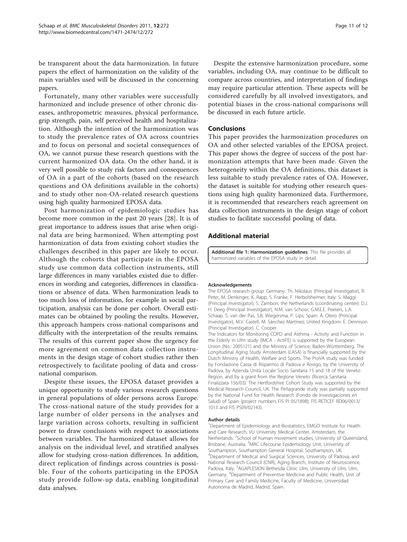<span id="page-10-0"></span>be transparent about the data harmonization. In future papers the effect of harmonization on the validity of the main variables used will be discussed in the concerning papers.

Fortunately, many other variables were successfully harmonized and include presence of other chronic diseases, anthropometric measures, physical performance, grip strength, pain, self perceived health and hospitalization. Although the intention of the harmonization was to study the prevalence rates of OA across countries and to focus on personal and societal consequences of OA, we cannot pursue these research questions with the current harmonized OA data. On the other hand, it is very well possible to study risk factors and consequences of OA in a part of the cohorts (based on the research questions and OA definitions available in the cohorts) and to study other non-OA-related research questions using high quality harmonized EPOSA data.

Post harmonization of epidemiologic studies has become more common in the past 20 years [\[28](#page-11-0)]. It is of great importance to address issues that arise when original data are being harmonized. When attempting post harmonization of data from existing cohort studies the challenges described in this paper are likely to occur. Although the cohorts that participate in the EPOSA study use common data collection instruments, still large differences in many variables existed due to differences in wording and categories, differences in classifications or absence of data. When harmonization leads to too much loss of information, for example in social participation, analysis can be done per cohort. Overall estimates can be obtained by pooling the results. However, this approach hampers cross-national comparisons and difficulty with the interpretation of the results remains. The results of this current paper show the urgency for more agreement on common data collection instruments in the design stage of cohort studies rather then retrospectively to facilitate pooling of data and crossnational comparison.

Despite these issues, the EPOSA dataset provides a unique opportunity to study various research questions in general populations of older persons across Europe. The cross-national nature of the study provides for a large number of older persons in the analyses and large variation across cohorts, resulting in sufficient power to draw conclusions with respect to associations between variables. The harmonized dataset allows for analysis on the individual level, and stratified analyses allow for studying cross-nation differences. In addition, direct replication of findings across countries is possible. Four of the cohorts participating in the EPOSA study provide follow-up data, enabling longitudinal data analyses.

Despite the extensive harmonization procedure, some variables, including OA, may continue to be difficult to compare across countries, and interpretation of findings may require particular attention. These aspects will be considered carefully by all involved investigators, and potential biases in the cross-national comparisons will be discussed in each future article.

# Conclusions

This paper provides the harmonization procedures on OA and other selected variables of the EPOSA project. This paper shows the degree of success of the post harmonization attempts that have been made. Given the heterogeneity within the OA definitions, this dataset is less suitable to study prevalence rates of OA. However, the dataset is suitable for studying other research questions using high quality harmonized data. Furthermore, it is recommended that researchers reach agreement on data collection instruments in the design stage of cohort studies to facilitate successful pooling of data.

# Additional material

[Additional file 1: H](http://www.biomedcentral.com/content/supplementary/1471-2474-12-272-S1.PDF)armonization guidelines. This file provides all harmonized variables of the EPOSA study in detail.

#### Acknowledgements

The EPOSA research group: Germany: Th. Nikolaus (Principal Investigator), R. Peter, M. Denkinger, K. Rapp, S. Franke, F. Herbolsheimer; Italy: S. Maggi (Principal Investigator), S. Zambon; the Netherlands (coordinating center): D.J. H. Deeg (Principal Investigator), N.M. van Schoor, G.M.E.E. Peeters, L.A. Schaap. S. van der Pas, S.B. Wiegersma, P. Lips; Spain: Á. Otero (Principal Investigator), M.V. Castell, M. Sánchez Martínez; United Kingdom: E. Dennison (Principal Investigator), C. Cooper.

The Indicators for Monitoring COPD and Asthma - Activity and Function in the Elderly in Ulm study (IMCA - ActiFE) is supported by the European Union (No.: 2005121) and the Ministry of Science, Baden-Württemberg. The Longitudinal Aging Study Amsterdam (LASA) is financially supported by the Dutch Ministry of Health, Welfare and Sports. The ProVA study was funded by Fondazione Cassa di Risparmio di Padova e Rovigo, by the University of Padova, by Azienda Unità Locale Socio Sanitaria 15 and 18 of the Veneto Region, and by a grant from the Regione Veneto (Ricerca Sanitaria Finalizzata 156/03). The Hertfordshire Cohort Study was supported by the Medical Research Council, UK. The Peñagrande study was partially supported by the National Fund for Health Research (Fondo de Investigaciones en Salud) of Spain (project numbers FIS PI 05/1898); FIS RETICEF RD06/0013/ 1013 and FIS PS09/02143).

#### Author details

<sup>1</sup>Department of Epidemiology and Biostatistics, EMGO Institute for Health and Care Research, VU University Medical Center, Amsterdam, the Netherlands. <sup>2</sup>School of human movement studies, University of Queensland Brisbane, Australia. <sup>3</sup>MRC Lifecourse Epidemiology Unit, University of Southampton, Southampton General Hospital, Southampton, UK. 4 Department of Medical and Surgical Sciences, University of Padova, and National Research Council (CNR), Aging Branch, Institute of Neuroscience, Padova, Italy. <sup>5</sup>AGAPLESION Bethesda Clinic Ulm, University of Ulm, Ulm, Germany. <sup>6</sup>Department of Preventive Medicine and Public Health, Unit of Primary Care and Family Medicine, Faculty of Medicine, Universidad Autonoma de Madrid, Madrid, Spain.